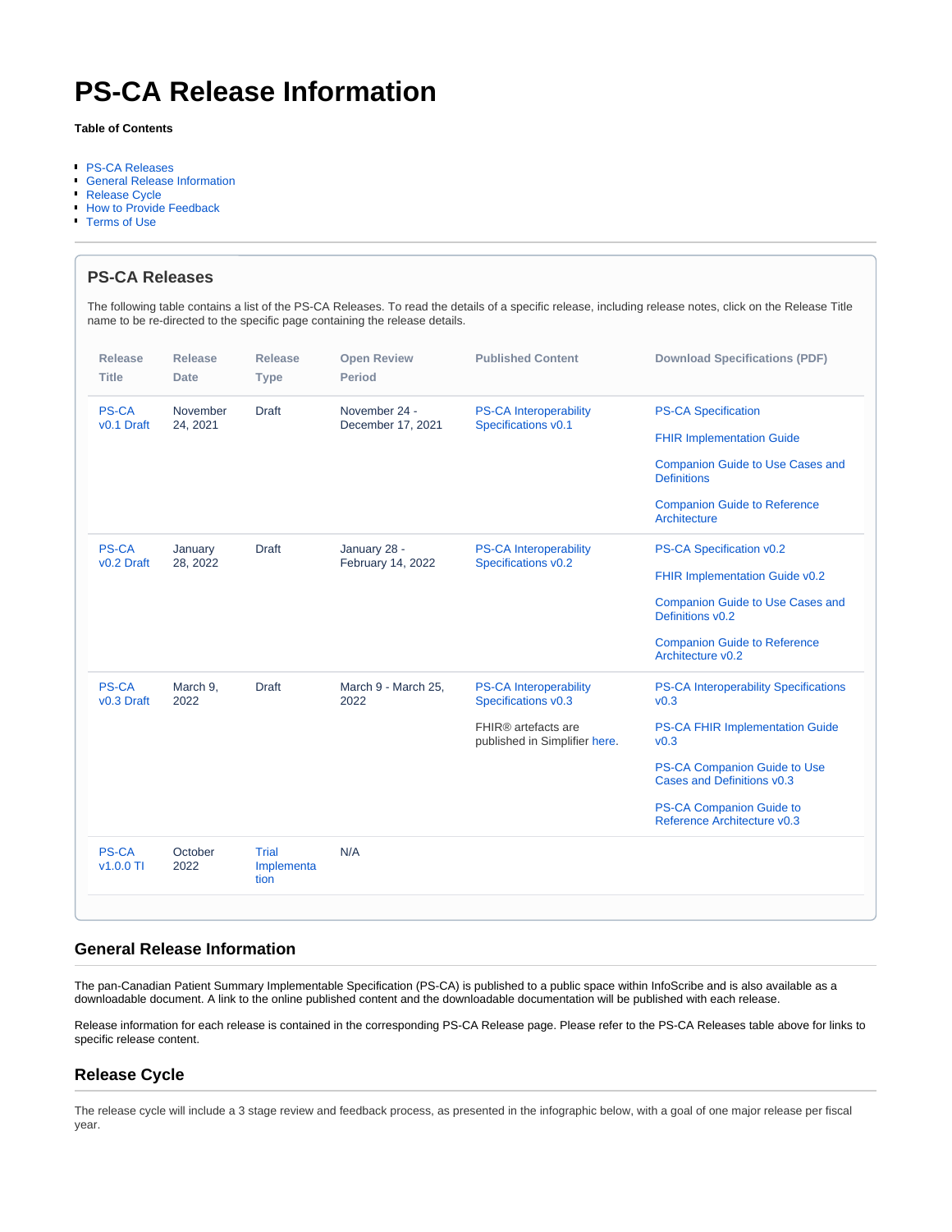# **PS-CA Release Information**

#### **Table of Contents**

- [PS-CA Releases](#page-0-0)
- [General Release Information](#page-0-1)
- [Release Cycle](#page-0-2)
- **[How to Provide Feedback](#page-1-0)**
- [Terms of Use](#page-1-1)

<span id="page-0-0"></span>

| name to be re-directed to the specific page containing the release details. |                      |                             |                                    |                                                      |                                                                |
|-----------------------------------------------------------------------------|----------------------|-----------------------------|------------------------------------|------------------------------------------------------|----------------------------------------------------------------|
| <b>Release</b>                                                              | <b>Release</b>       | <b>Release</b>              | <b>Open Review</b>                 | <b>Published Content</b>                             | <b>Download Specifications (PDF)</b>                           |
| <b>Title</b>                                                                | Date                 | <b>Type</b>                 | <b>Period</b>                      |                                                      |                                                                |
| <b>PS-CA</b><br>v <sub>0.1</sub> Draft                                      | November<br>24, 2021 | <b>Draft</b>                | November 24 -<br>December 17, 2021 | <b>PS-CA Interoperability</b><br>Specifications v0.1 | <b>PS-CA Specification</b>                                     |
|                                                                             |                      |                             |                                    |                                                      | <b>FHIR Implementation Guide</b>                               |
|                                                                             |                      |                             |                                    |                                                      | <b>Companion Guide to Use Cases and</b><br><b>Definitions</b>  |
|                                                                             |                      |                             |                                    |                                                      | <b>Companion Guide to Reference</b><br>Architecture            |
| <b>PS-CA</b><br>v <sub>0.2</sub> Draft                                      | January<br>28, 2022  | <b>Draft</b>                | January 28 -<br>February 14, 2022  | <b>PS-CA Interoperability</b><br>Specifications v0.2 | PS-CA Specification v0.2                                       |
|                                                                             |                      |                             |                                    |                                                      | FHIR Implementation Guide v0.2                                 |
|                                                                             |                      |                             |                                    |                                                      | <b>Companion Guide to Use Cases and</b><br>Definitions v0.2    |
|                                                                             |                      |                             |                                    |                                                      | <b>Companion Guide to Reference</b><br>Architecture v0.2       |
| <b>PS-CA</b><br>v <sub>0.3</sub> Draft                                      | March 9,<br>2022     | <b>Draft</b>                | March 9 - March 25,<br>2022        | <b>PS-CA Interoperability</b><br>Specifications v0.3 | <b>PS-CA Interoperability Specifications</b><br>v0.3           |
|                                                                             |                      |                             |                                    | FHIR® artefacts are<br>published in Simplifier here. | <b>PS-CA FHIR Implementation Guide</b><br>v <sub>0.3</sub>     |
|                                                                             |                      |                             |                                    |                                                      | PS-CA Companion Guide to Use<br>Cases and Definitions v0.3     |
|                                                                             |                      |                             |                                    |                                                      | <b>PS-CA Companion Guide to</b><br>Reference Architecture v0.3 |
| <b>PS-CA</b><br>$v1.0.0$ TI                                                 | October<br>2022      | Trial<br>Implementa<br>tion | N/A                                |                                                      |                                                                |

## <span id="page-0-1"></span>**General Release Information**

The pan-Canadian Patient Summary Implementable Specification (PS-CA) is published to a public space within InfoScribe and is also available as a downloadable document. A link to the online published content and the downloadable documentation will be published with each release.

Release information for each release is contained in the corresponding PS-CA Release page. Please refer to the PS-CA Releases table above for links to specific release content.

## <span id="page-0-2"></span>**Release Cycle**

The release cycle will include a 3 stage review and feedback process, as presented in the infographic below, with a goal of one major release per fiscal year.